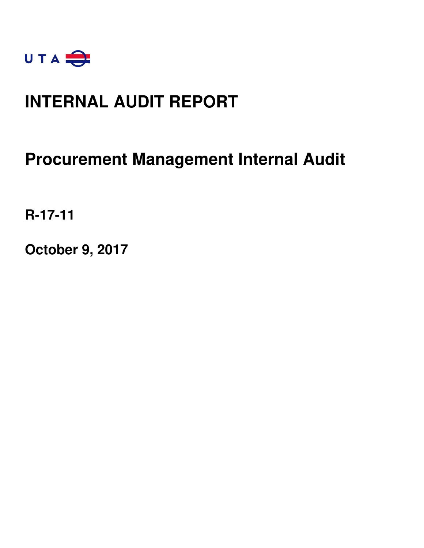

# **INTERNAL AUDIT REPORT**

# **Procurement Management Internal Audit**

**R-17-11** 

**October 9, 2017**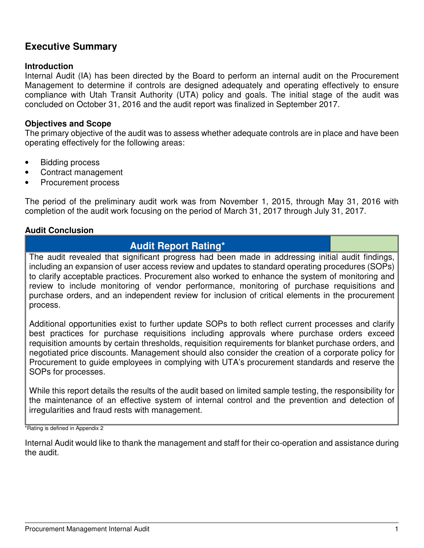## **Executive Summary**

### **Introduction**

Internal Audit (IA) has been directed by the Board to perform an internal audit on the Procurement Management to determine if controls are designed adequately and operating effectively to ensure compliance with Utah Transit Authority (UTA) policy and goals. The initial stage of the audit was concluded on October 31, 2016 and the audit report was finalized in September 2017.

### **Objectives and Scope**

The primary objective of the audit was to assess whether adequate controls are in place and have been operating effectively for the following areas:

- Bidding process
- Contract management
- Procurement process

The period of the preliminary audit work was from November 1, 2015, through May 31, 2016 with completion of the audit work focusing on the period of March 31, 2017 through July 31, 2017.

### **Audit Conclusion**

## **Audit Report Rating\***

The audit revealed that significant progress had been made in addressing initial audit findings, including an expansion of user access review and updates to standard operating procedures (SOPs) to clarify acceptable practices. Procurement also worked to enhance the system of monitoring and review to include monitoring of vendor performance, monitoring of purchase requisitions and purchase orders, and an independent review for inclusion of critical elements in the procurement process.

Additional opportunities exist to further update SOPs to both reflect current processes and clarify best practices for purchase requisitions including approvals where purchase orders exceed requisition amounts by certain thresholds, requisition requirements for blanket purchase orders, and negotiated price discounts. Management should also consider the creation of a corporate policy for Procurement to guide employees in complying with UTA's procurement standards and reserve the SOPs for processes.

While this report details the results of the audit based on limited sample testing, the responsibility for the maintenance of an effective system of internal control and the prevention and detection of irregularities and fraud rests with management.

\*Rating is defined in Appendix 2

Internal Audit would like to thank the management and staff for their co-operation and assistance during the audit.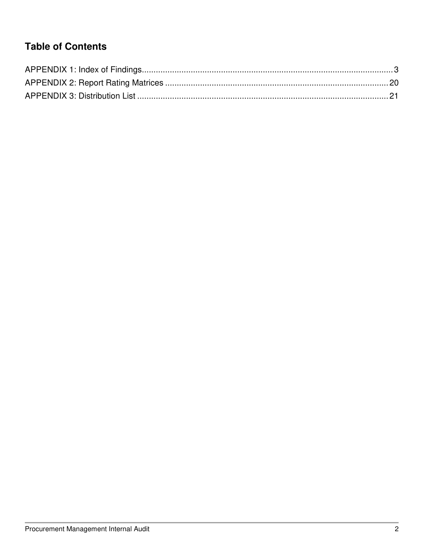# **Table of Contents**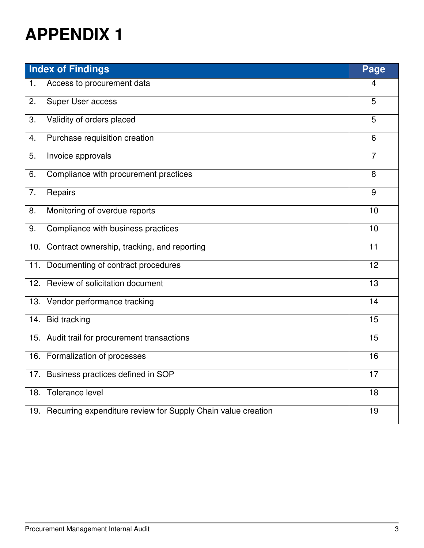|     | <b>Index of Findings</b>                                     | Page           |
|-----|--------------------------------------------------------------|----------------|
| 1.  | Access to procurement data                                   | 4              |
| 2.  | Super User access                                            | 5              |
| 3.  | Validity of orders placed                                    | 5              |
| 4.  | Purchase requisition creation                                | 6              |
| 5.  | Invoice approvals                                            | $\overline{7}$ |
| 6.  | Compliance with procurement practices                        | 8              |
| 7.  | Repairs                                                      | 9              |
| 8.  | Monitoring of overdue reports                                | 10             |
| 9.  | Compliance with business practices                           | 10             |
| 10. | Contract ownership, tracking, and reporting                  | 11             |
|     | 11. Documenting of contract procedures                       | 12             |
|     | 12. Review of solicitation document                          | 13             |
| 13. | Vendor performance tracking                                  | 14             |
| 14. | <b>Bid tracking</b>                                          | 15             |
|     | 15. Audit trail for procurement transactions                 | 15             |
|     | 16. Formalization of processes                               | 16             |
|     | 17. Business practices defined in SOP                        | 17             |
| 18. | Tolerance level                                              | 18             |
| 19. | Recurring expenditure review for Supply Chain value creation | 19             |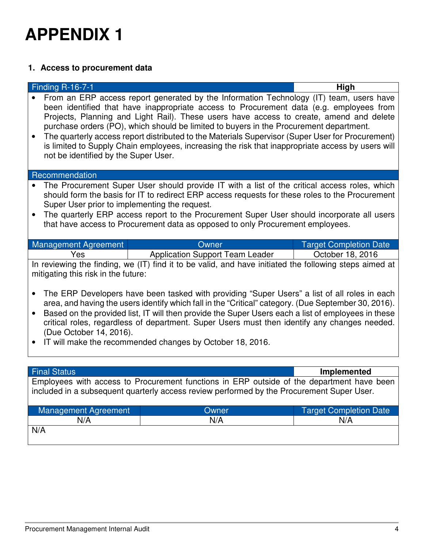## **1. Access to procurement data**

|                        | <b>Finding R-16-7-1</b>                                               |                                                                                                                                                                                                                                                                                                                                                                                                                                                                                                                                                                                                                             | High                          |
|------------------------|-----------------------------------------------------------------------|-----------------------------------------------------------------------------------------------------------------------------------------------------------------------------------------------------------------------------------------------------------------------------------------------------------------------------------------------------------------------------------------------------------------------------------------------------------------------------------------------------------------------------------------------------------------------------------------------------------------------------|-------------------------------|
| $\bullet$              | not be identified by the Super User.                                  | From an ERP access report generated by the Information Technology (IT) team, users have<br>been identified that have inappropriate access to Procurement data (e.g. employees from<br>Projects, Planning and Light Rail). These users have access to create, amend and delete<br>purchase orders (PO), which should be limited to buyers in the Procurement department.<br>The quarterly access report distributed to the Materials Supervisor (Super User for Procurement)<br>is limited to Supply Chain employees, increasing the risk that inappropriate access by users will                                            |                               |
|                        | Recommendation                                                        |                                                                                                                                                                                                                                                                                                                                                                                                                                                                                                                                                                                                                             |                               |
|                        | Super User prior to implementing the request.                         | The Procurement Super User should provide IT with a list of the critical access roles, which<br>should form the basis for IT to redirect ERP access requests for these roles to the Procurement<br>The quarterly ERP access report to the Procurement Super User should incorporate all users<br>that have access to Procurement data as opposed to only Procurement employees.                                                                                                                                                                                                                                             |                               |
|                        |                                                                       |                                                                                                                                                                                                                                                                                                                                                                                                                                                                                                                                                                                                                             |                               |
|                        |                                                                       |                                                                                                                                                                                                                                                                                                                                                                                                                                                                                                                                                                                                                             |                               |
|                        | <b>Management Agreement</b>                                           | Owner                                                                                                                                                                                                                                                                                                                                                                                                                                                                                                                                                                                                                       | <b>Target Completion Date</b> |
| $\bullet$<br>$\bullet$ | Yes<br>mitigating this risk in the future:<br>(Due October 14, 2016). | <b>Application Support Team Leader</b><br>In reviewing the finding, we (IT) find it to be valid, and have initiated the following steps aimed at<br>The ERP Developers have been tasked with providing "Super Users" a list of all roles in each<br>area, and having the users identify which fall in the "Critical" category. (Due September 30, 2016).<br>Based on the provided list, IT will then provide the Super Users each a list of employees in these<br>critical roles, regardless of department. Super Users must then identify any changes needed.<br>IT will make the recommended changes by October 18, 2016. | October 18, 2016              |
|                        |                                                                       |                                                                                                                                                                                                                                                                                                                                                                                                                                                                                                                                                                                                                             |                               |
|                        | <b>Final Status</b>                                                   | Employees with access to Procurement functions in ERP outside of the department have been                                                                                                                                                                                                                                                                                                                                                                                                                                                                                                                                   | <b>Implemented</b>            |

| Management Agreement | Dwner | <b>Target Completion Date</b> |
|----------------------|-------|-------------------------------|
| N/A                  | N/A   | N/A                           |
| N/A                  |       |                               |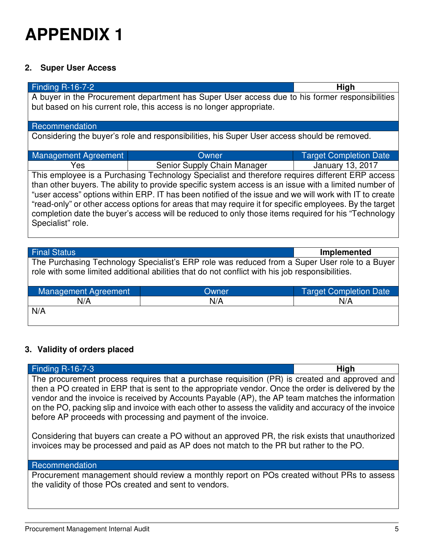## **2. Super User Access**

| Finding R-16-7-2                                                                                                                                                                                                  |                                                                                             | High                          |
|-------------------------------------------------------------------------------------------------------------------------------------------------------------------------------------------------------------------|---------------------------------------------------------------------------------------------|-------------------------------|
| A buyer in the Procurement department has Super User access due to his former responsibilities<br>but based on his current role, this access is no longer appropriate.                                            |                                                                                             |                               |
|                                                                                                                                                                                                                   |                                                                                             |                               |
| Recommendation                                                                                                                                                                                                    |                                                                                             |                               |
|                                                                                                                                                                                                                   | Considering the buyer's role and responsibilities, his Super User access should be removed. |                               |
| Management Agreement                                                                                                                                                                                              | Owner                                                                                       | <b>Target Completion Date</b> |
| Yes                                                                                                                                                                                                               | Senior Supply Chain Manager                                                                 | <b>January 13, 2017</b>       |
| This employee is a Purchasing Technology Specialist and therefore requires different ERP access<br>than other buyers. The ability to provide specific system access is an issue with a limited number of          |                                                                                             |                               |
| "user access" options within ERP. IT has been notified of the issue and we will work with IT to create<br>"read-only" or other access options for areas that may require it for specific employees. By the target |                                                                                             |                               |
| completion date the buyer's access will be reduced to only those items required for his "Technology                                                                                                               |                                                                                             |                               |
| Specialist" role.                                                                                                                                                                                                 |                                                                                             |                               |
|                                                                                                                                                                                                                   |                                                                                             |                               |
| <b>Final Status</b>                                                                                                                                                                                               |                                                                                             | <b>Implemented</b>            |

The Purchasing Technology Specialist's ERP role was reduced from a Super User role to a Buyer role with some limited additional abilities that do not conflict with his job responsibilities.

| Management Agreement | Owner | Target Completion Date |
|----------------------|-------|------------------------|
| N/A                  | N/A   | N/A                    |
| N/A                  |       |                        |
|                      |       |                        |

## **3. Validity of orders placed**

| Finding $R-16-7-3$                                                                                                                                                                                                                                                                                                                                                                  | High |
|-------------------------------------------------------------------------------------------------------------------------------------------------------------------------------------------------------------------------------------------------------------------------------------------------------------------------------------------------------------------------------------|------|
| The procurement process requires that a purchase requisition (PR) is created and approved and                                                                                                                                                                                                                                                                                       |      |
| then a PO created in ERP that is sent to the appropriate vendor. Once the order is delivered by the<br>vendor and the invoice is received by Accounts Payable (AP), the AP team matches the information<br>on the PO, packing slip and invoice with each other to assess the validity and accuracy of the invoice<br>before AP proceeds with processing and payment of the invoice. |      |

Considering that buyers can create a PO without an approved PR, the risk exists that unauthorized invoices may be processed and paid as AP does not match to the PR but rather to the PO.

### **Recommendation**

Procurement management should review a monthly report on POs created without PRs to assess the validity of those POs created and sent to vendors.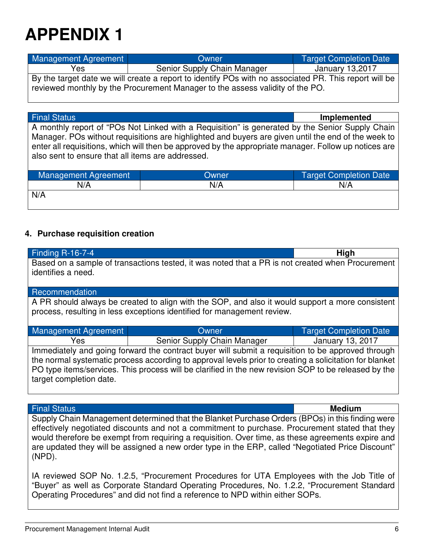| Management Agreement                                                          | Owner                                                                                                 | <b>Target Completion Date</b> |
|-------------------------------------------------------------------------------|-------------------------------------------------------------------------------------------------------|-------------------------------|
| Yes                                                                           | Senior Supply Chain Manager                                                                           | January 13,2017               |
|                                                                               | By the target date we will create a report to identify POs with no associated PR. This report will be |                               |
| reviewed monthly by the Procurement Manager to the assess validity of the PO. |                                                                                                       |                               |

Final Status **Implemented**

A monthly report of "POs Not Linked with a Requisition" is generated by the Senior Supply Chain Manager. POs without requisitions are highlighted and buyers are given until the end of the week to enter all requisitions, which will then be approved by the appropriate manager. Follow up notices are also sent to ensure that all items are addressed.

| Management Agreement | Owner | <b>Target Completion Date</b> |
|----------------------|-------|-------------------------------|
| N/A                  | N/A   | N/A                           |
| N/A                  |       |                               |
|                      |       |                               |

## **4. Purchase requisition creation**

| <b>Finding R-16-7-4</b>                                                                                 |                                                                                                  | <b>High</b>                   |
|---------------------------------------------------------------------------------------------------------|--------------------------------------------------------------------------------------------------|-------------------------------|
|                                                                                                         | Based on a sample of transactions tested, it was noted that a PR is not created when Procurement |                               |
| identifies a need.                                                                                      |                                                                                                  |                               |
|                                                                                                         |                                                                                                  |                               |
| Recommendation                                                                                          |                                                                                                  |                               |
|                                                                                                         | A PR should always be created to align with the SOP, and also it would support a more consistent |                               |
|                                                                                                         | process, resulting in less exceptions identified for management review.                          |                               |
|                                                                                                         |                                                                                                  |                               |
| <b>Management Agreement</b>                                                                             | Owner                                                                                            | <b>Target Completion Date</b> |
| Yes                                                                                                     | Senior Supply Chain Manager                                                                      | January 13, 2017              |
| Immediately and going forward the contract buyer will submit a requisition to be approved through       |                                                                                                  |                               |
| the normal systematic process according to approval levels prior to creating a solicitation for blanket |                                                                                                  |                               |
| PO type items/services. This process will be clarified in the new revision SOP to be released by the    |                                                                                                  |                               |
| target completion date.                                                                                 |                                                                                                  |                               |
|                                                                                                         |                                                                                                  |                               |

### Final Status **Medium**

Supply Chain Management determined that the Blanket Purchase Orders (BPOs) in this finding were effectively negotiated discounts and not a commitment to purchase. Procurement stated that they would therefore be exempt from requiring a requisition. Over time, as these agreements expire and are updated they will be assigned a new order type in the ERP, called "Negotiated Price Discount" (NPD).

IA reviewed SOP No. 1.2.5, "Procurement Procedures for UTA Employees with the Job Title of "Buyer" as well as Corporate Standard Operating Procedures, No. 1.2.2, "Procurement Standard Operating Procedures" and did not find a reference to NPD within either SOPs.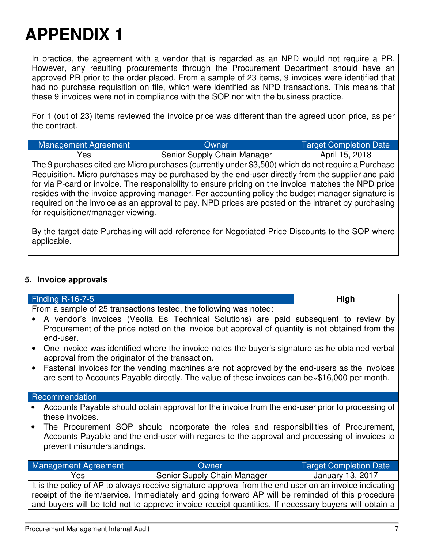In practice, the agreement with a vendor that is regarded as an NPD would not require a PR. However, any resulting procurements through the Procurement Department should have an approved PR prior to the order placed. From a sample of 23 items, 9 invoices were identified that had no purchase requisition on file, which were identified as NPD transactions. This means that these 9 invoices were not in compliance with the SOP nor with the business practice.

For 1 (out of 23) items reviewed the invoice price was different than the agreed upon price, as per the contract.

| Management Agreement | Owner                       | Target Completion Date |
|----------------------|-----------------------------|------------------------|
| Yes                  | Senior Supply Chain Manager | April 15, 2018         |

The 9 purchases cited are Micro purchases (currently under \$3,500) which do not require a Purchase Requisition. Micro purchases may be purchased by the end-user directly from the supplier and paid for via P-card or invoice. The responsibility to ensure pricing on the invoice matches the NPD price resides with the invoice approving manager. Per accounting policy the budget manager signature is required on the invoice as an approval to pay. NPD prices are posted on the intranet by purchasing for requisitioner/manager viewing.

By the target date Purchasing will add reference for Negotiated Price Discounts to the SOP where applicable.

## **5. Invoice approvals**

| Finding R-16-7-5                                                                                                                                                                                                                                                                                                   |                                                                                                                                                                                               | High                          |
|--------------------------------------------------------------------------------------------------------------------------------------------------------------------------------------------------------------------------------------------------------------------------------------------------------------------|-----------------------------------------------------------------------------------------------------------------------------------------------------------------------------------------------|-------------------------------|
|                                                                                                                                                                                                                                                                                                                    | From a sample of 25 transactions tested, the following was noted:                                                                                                                             |                               |
| end-user.                                                                                                                                                                                                                                                                                                          | A vendor's invoices (Veolia Es Technical Solutions) are paid subsequent to review by<br>Procurement of the price noted on the invoice but approval of quantity is not obtained from the       |                               |
| approval from the originator of the transaction.                                                                                                                                                                                                                                                                   | One invoice was identified where the invoice notes the buyer's signature as he obtained verbal                                                                                                |                               |
|                                                                                                                                                                                                                                                                                                                    | Fastenal invoices for the vending machines are not approved by the end-users as the invoices<br>are sent to Accounts Payable directly. The value of these invoices can be-\$16,000 per month. |                               |
| Recommendation                                                                                                                                                                                                                                                                                                     |                                                                                                                                                                                               |                               |
| Accounts Payable should obtain approval for the invoice from the end-user prior to processing of<br>these invoices.                                                                                                                                                                                                |                                                                                                                                                                                               |                               |
| The Procurement SOP should incorporate the roles and responsibilities of Procurement,<br>Accounts Payable and the end-user with regards to the approval and processing of invoices to<br>prevent misunderstandings.                                                                                                |                                                                                                                                                                                               |                               |
| Management Agreement                                                                                                                                                                                                                                                                                               | Owner                                                                                                                                                                                         | <b>Target Completion Date</b> |
| Yes                                                                                                                                                                                                                                                                                                                | Senior Supply Chain Manager                                                                                                                                                                   | <b>January 13, 2017</b>       |
| It is the policy of AP to always receive signature approval from the end user on an invoice indicating<br>receipt of the item/service. Immediately and going forward AP will be reminded of this procedure<br>and buyers will be told not to approve invoice receipt quantities. If necessary buyers will obtain a |                                                                                                                                                                                               |                               |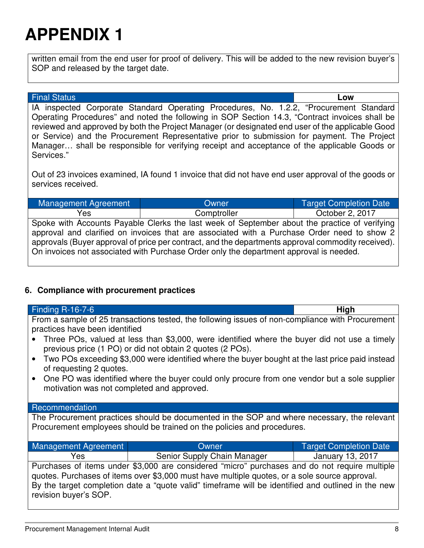written email from the end user for proof of delivery. This will be added to the new revision buyer's SOP and released by the target date.

### Final Status **Low**

IA inspected Corporate Standard Operating Procedures, No. 1.2.2, "Procurement Standard Operating Procedures" and noted the following in SOP Section 14.3, "Contract invoices shall be reviewed and approved by both the Project Manager (or designated end user of the applicable Good or Service) and the Procurement Representative prior to submission for payment. The Project Manager… shall be responsible for verifying receipt and acceptance of the applicable Goods or Services."

Out of 23 invoices examined, IA found 1 invoice that did not have end user approval of the goods or services received.

| Management Agreement                                                                               | Owner       | <b>Target Completion Date</b> |
|----------------------------------------------------------------------------------------------------|-------------|-------------------------------|
| Yes                                                                                                | Comptroller | October 2, 2017               |
| Spoke with Accounts Payable Clerks the last week of September about the practice of verifying      |             |                               |
| approval and clarified on invoices that are associated with a Purchase Order need to show 2        |             |                               |
| approvals (Buyer approval of price per contract, and the departments approval commodity received). |             |                               |
| On invoices not associated with Purchase Order only the department approval is needed.             |             |                               |

## **6. Compliance with procurement practices**

| Finding $R-16-7-6$                                                                                                                                                                                                                                                                                                            |                                                                                                 | High                          |
|-------------------------------------------------------------------------------------------------------------------------------------------------------------------------------------------------------------------------------------------------------------------------------------------------------------------------------|-------------------------------------------------------------------------------------------------|-------------------------------|
| From a sample of 25 transactions tested, the following issues of non-compliance with Procurement<br>practices have been identified                                                                                                                                                                                            |                                                                                                 |                               |
| Three POs, valued at less than \$3,000, were identified where the buyer did not use a timely<br>previous price (1 PO) or did not obtain 2 quotes (2 POs).                                                                                                                                                                     |                                                                                                 |                               |
| of requesting 2 quotes.                                                                                                                                                                                                                                                                                                       | Two POs exceeding \$3,000 were identified where the buyer bought at the last price paid instead |                               |
| • One PO was identified where the buyer could only procure from one vendor but a sole supplier<br>motivation was not completed and approved.                                                                                                                                                                                  |                                                                                                 |                               |
| Recommendation                                                                                                                                                                                                                                                                                                                |                                                                                                 |                               |
| The Procurement practices should be documented in the SOP and where necessary, the relevant<br>Procurement employees should be trained on the policies and procedures.                                                                                                                                                        |                                                                                                 |                               |
| Management Agreement                                                                                                                                                                                                                                                                                                          | Owner                                                                                           | <b>Target Completion Date</b> |
| Yes                                                                                                                                                                                                                                                                                                                           | Senior Supply Chain Manager [159]                                                               | <b>January 13, 2017</b>       |
| Purchases of items under \$3,000 are considered "micro" purchases and do not require multiple<br>quotes. Purchases of items over \$3,000 must have multiple quotes, or a sole source approval.<br>By the target completion date a "quote valid" timeframe will be identified and outlined in the new<br>revision buyer's SOP. |                                                                                                 |                               |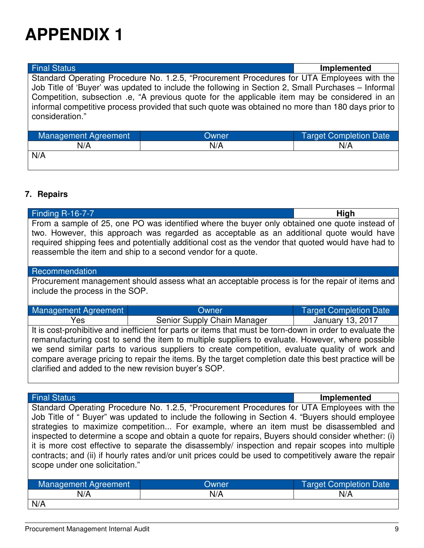| <b>Final Status</b>                                                                                                                                                                                                   |                                                                                                    | <b>Implemented</b>            |
|-----------------------------------------------------------------------------------------------------------------------------------------------------------------------------------------------------------------------|----------------------------------------------------------------------------------------------------|-------------------------------|
| Standard Operating Procedure No. 1.2.5, "Procurement Procedures for UTA Employees with the                                                                                                                            |                                                                                                    |                               |
|                                                                                                                                                                                                                       | Job Title of 'Buyer' was updated to include the following in Section 2, Small Purchases - Informal |                               |
| Competition, subsection .e, "A previous quote for the applicable item may be considered in an<br>informal competitive process provided that such quote was obtained no more than 180 days prior to<br>consideration." |                                                                                                    |                               |
| Management Agreement                                                                                                                                                                                                  | Owner                                                                                              | <b>Target Completion Date</b> |
| N/A                                                                                                                                                                                                                   | N/A                                                                                                | N/A                           |
| N/A                                                                                                                                                                                                                   |                                                                                                    |                               |
|                                                                                                                                                                                                                       |                                                                                                    |                               |

## **7. Repairs**

| <b>Finding R-16-7-7</b>                                                                                                                                                                   | High |
|-------------------------------------------------------------------------------------------------------------------------------------------------------------------------------------------|------|
| From a sample of 25, one PO was identified where the buyer only obtained one quote instead of<br>two. However, this approach was regarded as acceptable as an additional quote would have |      |
| required shipping fees and potentially additional cost as the vendor that quoted would have had to                                                                                        |      |
| reassemble the item and ship to a second vendor for a quote.                                                                                                                              |      |

### Recommendation

Procurement management should assess what an acceptable process is for the repair of items and include the process in the SOP.

| Management Agreement                                                                                                                                                                                                             | Owner                       | <b>Target Completion Date</b> |
|----------------------------------------------------------------------------------------------------------------------------------------------------------------------------------------------------------------------------------|-----------------------------|-------------------------------|
| Yes                                                                                                                                                                                                                              | Senior Supply Chain Manager | January 13, 2017              |
| It is cost-prohibitive and inefficient for parts or items that must be torn-down in order to evaluate the<br>المائونين وموطنين ووزورور المتحاوراوريو الحاربو المتعرب واستلابيس بخلالهم والمحالم والمواوي والمتحارب والمواسوسون ا |                             |                               |

remanufacturing cost to send the item to multiple suppliers to evaluate. However, where possible we send similar parts to various suppliers to create competition, evaluate quality of work and compare average pricing to repair the items. By the target completion date this best practice will be clarified and added to the new revision buyer's SOP.

Final Status **Implemented**

Standard Operating Procedure No. 1.2.5, "Procurement Procedures for UTA Employees with the Job Title of " Buyer" was updated to include the following in Section 4. "Buyers should employee strategies to maximize competition... For example, where an item must be disassembled and inspected to determine a scope and obtain a quote for repairs, Buyers should consider whether: (i) it is more cost effective to separate the disassembly/ inspection and repair scopes into multiple contracts; and (ii) if hourly rates and/or unit prices could be used to competitively aware the repair scope under one solicitation."

| Management Agreement | Owner | <b>Target Completion Date</b> |
|----------------------|-------|-------------------------------|
| N/A                  | N/A   | N/A                           |
| N/A                  |       |                               |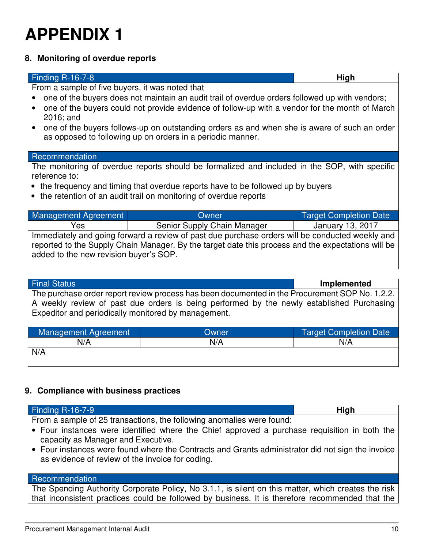## **8. Monitoring of overdue reports**

| Finding R-16-7-8                                                                                                                                                                                                                                   |                                                                                                                                                            | High                          |
|----------------------------------------------------------------------------------------------------------------------------------------------------------------------------------------------------------------------------------------------------|------------------------------------------------------------------------------------------------------------------------------------------------------------|-------------------------------|
| From a sample of five buyers, it was noted that                                                                                                                                                                                                    |                                                                                                                                                            |                               |
| one of the buyers does not maintain an audit trail of overdue orders followed up with vendors;<br>one of the buyers could not provide evidence of follow-up with a vendor for the month of March                                                   |                                                                                                                                                            |                               |
| 2016; and                                                                                                                                                                                                                                          | one of the buyers follows-up on outstanding orders as and when she is aware of such an order<br>as opposed to following up on orders in a periodic manner. |                               |
| Recommendation                                                                                                                                                                                                                                     |                                                                                                                                                            |                               |
| reference to:                                                                                                                                                                                                                                      | The monitoring of overdue reports should be formalized and included in the SOP, with specific                                                              |                               |
| • the frequency and timing that overdue reports have to be followed up by buyers<br>• the retention of an audit trail on monitoring of overdue reports                                                                                             |                                                                                                                                                            |                               |
| <b>Management Agreement</b>                                                                                                                                                                                                                        | Owner                                                                                                                                                      | <b>Target Completion Date</b> |
| Yes                                                                                                                                                                                                                                                | Senior Supply Chain Manager                                                                                                                                | January 13, 2017              |
| Immediately and going forward a review of past due purchase orders will be conducted weekly and<br>reported to the Supply Chain Manager. By the target date this process and the expectations will be<br>added to the new revision buyer's SOP.    |                                                                                                                                                            |                               |
| <b>Final Status</b>                                                                                                                                                                                                                                |                                                                                                                                                            | Implemented                   |
| The purchase order report review process has been documented in the Procurement SOP No. 1.2.2.<br>A weekly review of past due orders is being performed by the newly established Purchasing<br>Expeditor and periodically monitored by management. |                                                                                                                                                            |                               |
| <b>Management Agreement</b>                                                                                                                                                                                                                        | Owner                                                                                                                                                      | <b>Target Completion Date</b> |
| N/A                                                                                                                                                                                                                                                | N/A                                                                                                                                                        | N/A                           |
| N/A                                                                                                                                                                                                                                                |                                                                                                                                                            |                               |

## **9. Compliance with business practices**

| Finding R-16-7-9                                                                                                                                      | High |
|-------------------------------------------------------------------------------------------------------------------------------------------------------|------|
| From a sample of 25 transactions, the following anomalies were found:                                                                                 |      |
| • Four instances were identified where the Chief approved a purchase requisition in both the<br>capacity as Manager and Executive.                    |      |
| • Four instances were found where the Contracts and Grants administrator did not sign the invoice<br>as evidence of review of the invoice for coding. |      |

### **Recommendation**

The Spending Authority Corporate Policy, No 3.1.1, is silent on this matter, which creates the risk that inconsistent practices could be followed by business. It is therefore recommended that the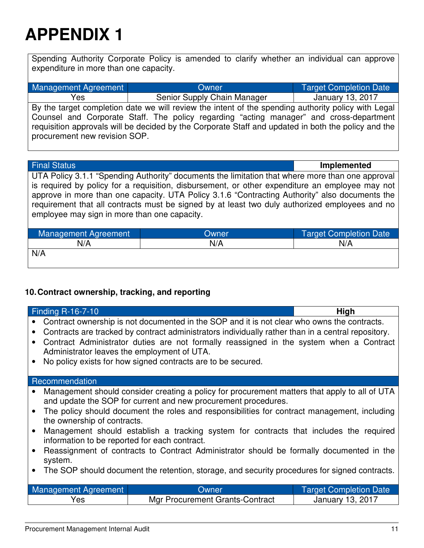Spending Authority Corporate Policy is amended to clarify whether an individual can approve expenditure in more than one capacity.

| Management Agreement          | Owner                                                                                                                                                                                                                                                                                                 | <b>Target Completion Date</b> |
|-------------------------------|-------------------------------------------------------------------------------------------------------------------------------------------------------------------------------------------------------------------------------------------------------------------------------------------------------|-------------------------------|
| Yes                           | Senior Supply Chain Manager                                                                                                                                                                                                                                                                           | January 13, 2017              |
| procurement new revision SOP. | By the target completion date we will review the intent of the spending authority policy with Legal<br>Counsel and Corporate Staff. The policy regarding "acting manager" and cross-department<br>requisition approvals will be decided by the Corporate Staff and updated in both the policy and the |                               |

Final Status **Implemented**

UTA Policy 3.1.1 "Spending Authority" documents the limitation that where more than one approval is required by policy for a requisition, disbursement, or other expenditure an employee may not approve in more than one capacity. UTA Policy 3.1.6 "Contracting Authority" also documents the requirement that all contracts must be signed by at least two duly authorized employees and no employee may sign in more than one capacity.

| Management Agreement | Owner | <b>Target Completion Date</b> |
|----------------------|-------|-------------------------------|
| N/A                  | N/A   | N/A                           |
| N/A                  |       |                               |

## **10. Contract ownership, tracking, and reporting**

| Finding R-16-7-10                                                                                                                                    |                                                                                                                                                                                               | High                          |  |
|------------------------------------------------------------------------------------------------------------------------------------------------------|-----------------------------------------------------------------------------------------------------------------------------------------------------------------------------------------------|-------------------------------|--|
| Contract ownership is not documented in the SOP and it is not clear who owns the contracts.                                                          |                                                                                                                                                                                               |                               |  |
| $\bullet$                                                                                                                                            | Contracts are tracked by contract administrators individually rather than in a central repository.<br>Contract Administrator duties are not formally reassigned in the system when a Contract |                               |  |
| Administrator leaves the employment of UTA.                                                                                                          |                                                                                                                                                                                               |                               |  |
|                                                                                                                                                      | No policy exists for how signed contracts are to be secured.                                                                                                                                  |                               |  |
| Recommendation                                                                                                                                       |                                                                                                                                                                                               |                               |  |
|                                                                                                                                                      | Management should consider creating a policy for procurement matters that apply to all of UTA                                                                                                 |                               |  |
|                                                                                                                                                      | and update the SOP for current and new procurement procedures.                                                                                                                                |                               |  |
| The policy should document the roles and responsibilities for contract management, including<br>the ownership of contracts.                          |                                                                                                                                                                                               |                               |  |
| Management should establish a tracking system for contracts that includes the required<br>$\bullet$<br>information to be reported for each contract. |                                                                                                                                                                                               |                               |  |
| Reassignment of contracts to Contract Administrator should be formally documented in the                                                             |                                                                                                                                                                                               |                               |  |
| system.                                                                                                                                              |                                                                                                                                                                                               |                               |  |
| The SOP should document the retention, storage, and security procedures for signed contracts.                                                        |                                                                                                                                                                                               |                               |  |
|                                                                                                                                                      | Owner                                                                                                                                                                                         |                               |  |
| <b>Management Agreement</b>                                                                                                                          |                                                                                                                                                                                               | <b>Target Completion Date</b> |  |
| Yes                                                                                                                                                  | <b>Mgr Procurement Grants-Contract</b>                                                                                                                                                        | <b>January 13, 2017</b>       |  |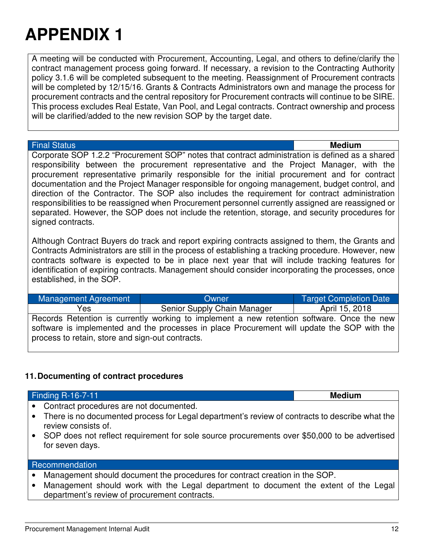A meeting will be conducted with Procurement, Accounting, Legal, and others to define/clarify the contract management process going forward. If necessary, a revision to the Contracting Authority policy 3.1.6 will be completed subsequent to the meeting. Reassignment of Procurement contracts will be completed by 12/15/16. Grants & Contracts Administrators own and manage the process for procurement contracts and the central repository for Procurement contracts will continue to be SIRE. This process excludes Real Estate, Van Pool, and Legal contracts. Contract ownership and process will be clarified/added to the new revision SOP by the target date.

### Final Status **Medium**

Corporate SOP 1.2.2 "Procurement SOP" notes that contract administration is defined as a shared responsibility between the procurement representative and the Project Manager, with the procurement representative primarily responsible for the initial procurement and for contract documentation and the Project Manager responsible for ongoing management, budget control, and direction of the Contractor. The SOP also includes the requirement for contract administration responsibilities to be reassigned when Procurement personnel currently assigned are reassigned or separated. However, the SOP does not include the retention, storage, and security procedures for signed contracts.

Although Contract Buyers do track and report expiring contracts assigned to them, the Grants and Contracts Administrators are still in the process of establishing a tracking procedure. However, new contracts software is expected to be in place next year that will include tracking features for identification of expiring contracts. Management should consider incorporating the processes, once established, in the SOP.

Management Agreement **National Completion Completion Completion Date** Yes Senior Supply Chain Manager | April 15, 2018 Records Retention is currently working to implement a new retention software. Once the new software is implemented and the processes in place Procurement will update the SOP with the process to retain, store and sign-out contracts.

## **11. Documenting of contract procedures**

Finding R-16-7-11 **Medium**

- Contract procedures are not documented.
- There is no documented process for Legal department's review of contracts to describe what the review consists of.
- SOP does not reflect requirement for sole source procurements over \$50,000 to be advertised for seven days.

### **Recommendation**

- Management should document the procedures for contract creation in the SOP.
- Management should work with the Legal department to document the extent of the Legal department's review of procurement contracts.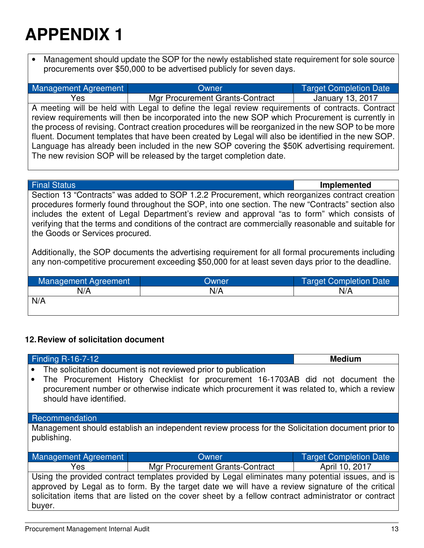• Management should update the SOP for the newly established state requirement for sole source procurements over \$50,000 to be advertised publicly for seven days.

| Management Agreement                                                                                | Owner                                                                                            | <b>Target Completion Date</b> |
|-----------------------------------------------------------------------------------------------------|--------------------------------------------------------------------------------------------------|-------------------------------|
| Yes                                                                                                 | Mgr Procurement Grants-Contract                                                                  | January 13, 2017              |
|                                                                                                     | A meeting will be held with Legal to define the legal review requirements of contracts. Contract |                               |
| review requirements will then be incorporated into the new SOP which Procurement is currently in    |                                                                                                  |                               |
| the process of revising. Contract creation procedures will be reorganized in the new SOP to be more |                                                                                                  |                               |
| fluent. Document templates that have been created by Legal will also be identified in the new SOP.  |                                                                                                  |                               |
| Language has already been included in the new SOP covering the \$50K advertising requirement.       |                                                                                                  |                               |
|                                                                                                     | The new revision SOP will be released by the target completion date.                             |                               |

Final Status **Implemented** Section 13 "Contracts" was added to SOP 1.2.2 Procurement, which reorganizes contract creation procedures formerly found throughout the SOP, into one section. The new "Contracts" section also includes the extent of Legal Department's review and approval "as to form" which consists of verifying that the terms and conditions of the contract are commercially reasonable and suitable for the Goods or Services procured.

Additionally, the SOP documents the advertising requirement for all formal procurements including any non-competitive procurement exceeding \$50,000 for at least seven days prior to the deadline.

| <b>Management Agreement</b> | Owner | Target Completion Date |
|-----------------------------|-------|------------------------|
| N/A                         | N/A   | N/A                    |
| N/A                         |       |                        |

## **12. Review of solicitation document**

| <b>Finding R-16-7-12</b>                                                                                                                                                                                                                                                                                               |                                                                                                                                                                                  | <b>Medium</b>                 |
|------------------------------------------------------------------------------------------------------------------------------------------------------------------------------------------------------------------------------------------------------------------------------------------------------------------------|----------------------------------------------------------------------------------------------------------------------------------------------------------------------------------|-------------------------------|
|                                                                                                                                                                                                                                                                                                                        | The solicitation document is not reviewed prior to publication                                                                                                                   |                               |
| should have identified.                                                                                                                                                                                                                                                                                                | The Procurement History Checklist for procurement 16-1703AB did not document the<br>procurement number or otherwise indicate which procurement it was related to, which a review |                               |
| Recommendation                                                                                                                                                                                                                                                                                                         |                                                                                                                                                                                  |                               |
| Management should establish an independent review process for the Solicitation document prior to<br>publishing.                                                                                                                                                                                                        |                                                                                                                                                                                  |                               |
| Management Agreement                                                                                                                                                                                                                                                                                                   | Owner                                                                                                                                                                            | <b>Target Completion Date</b> |
| Yes                                                                                                                                                                                                                                                                                                                    | Mgr Procurement Grants-Contract                                                                                                                                                  | April 10, 2017                |
| Using the provided contract templates provided by Legal eliminates many potential issues, and is<br>approved by Legal as to form. By the target date we will have a review signature of the critical<br>solicitation items that are listed on the cover sheet by a fellow contract administrator or contract<br>buyer. |                                                                                                                                                                                  |                               |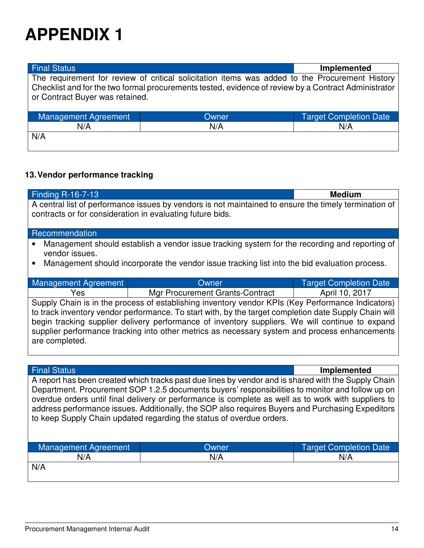| <b>Final Status</b>             |                                                                                                                                                                                                        | Implemented                   |
|---------------------------------|--------------------------------------------------------------------------------------------------------------------------------------------------------------------------------------------------------|-------------------------------|
| or Contract Buyer was retained. | The requirement for review of critical solicitation items was added to the Procurement History<br>Checklist and for the two formal procurements tested, evidence of review by a Contract Administrator |                               |
| Management Agreement            | Owner                                                                                                                                                                                                  | <b>Target Completion Date</b> |
| N/A                             | N/A                                                                                                                                                                                                    | N/A                           |
| N/A                             |                                                                                                                                                                                                        |                               |

## **13. Vendor performance tracking**

| <b>Finding R-16-7-13</b><br><b>Medium</b>                                                                                                                                                                                                                                                                                                                                                                                        |                                                                                                     |                               |
|----------------------------------------------------------------------------------------------------------------------------------------------------------------------------------------------------------------------------------------------------------------------------------------------------------------------------------------------------------------------------------------------------------------------------------|-----------------------------------------------------------------------------------------------------|-------------------------------|
| A central list of performance issues by vendors is not maintained to ensure the timely termination of<br>contracts or for consideration in evaluating future bids.                                                                                                                                                                                                                                                               |                                                                                                     |                               |
| Recommendation                                                                                                                                                                                                                                                                                                                                                                                                                   |                                                                                                     |                               |
| vendor issues.                                                                                                                                                                                                                                                                                                                                                                                                                   | Management should establish a vendor issue tracking system for the recording and reporting of       |                               |
|                                                                                                                                                                                                                                                                                                                                                                                                                                  | Management should incorporate the vendor issue tracking list into the bid evaluation process.       |                               |
| Management Agreement                                                                                                                                                                                                                                                                                                                                                                                                             | Owner                                                                                               | <b>Target Completion Date</b> |
| Yes                                                                                                                                                                                                                                                                                                                                                                                                                              | Mgr Procurement Grants-Contract                                                                     | April 10, 2017                |
| Supply Chain is in the process of establishing inventory vendor KPIs (Key Performance Indicators)<br>to track inventory vendor performance. To start with, by the target completion date Supply Chain will<br>begin tracking supplier delivery performance of inventory suppliers. We will continue to expand<br>supplier performance tracking into other metrics as necessary system and process enhancements<br>are completed. |                                                                                                     |                               |
|                                                                                                                                                                                                                                                                                                                                                                                                                                  |                                                                                                     |                               |
| <b>Final Status</b>                                                                                                                                                                                                                                                                                                                                                                                                              |                                                                                                     | <b>Implemented</b>            |
|                                                                                                                                                                                                                                                                                                                                                                                                                                  | A report has been created which tracks past due lines by vendor and is shared with the Supply Chain |                               |

Department. Procurement SOP 1.2.5 documents buyers' responsibilities to monitor and follow up on overdue orders until final delivery or performance is complete as well as to work with suppliers to address performance issues. Additionally, the SOP also requires Buyers and Purchasing Expeditors to keep Supply Chain updated regarding the status of overdue orders.

| Management Agreement | <b>Owner</b> | <b>Target Completion Date</b> |
|----------------------|--------------|-------------------------------|
| N/A                  | N/A          | N/A                           |
| N/A                  |              |                               |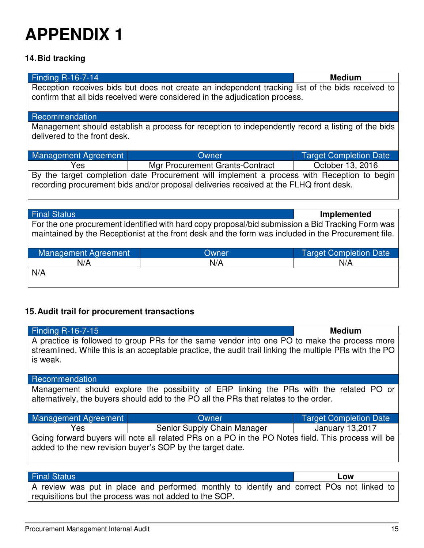## **14. Bid tracking**

| <b>Finding R-16-7-14</b>                                                                                                                                                             |                                                                                                   | <b>Medium</b>                 |
|--------------------------------------------------------------------------------------------------------------------------------------------------------------------------------------|---------------------------------------------------------------------------------------------------|-------------------------------|
| Reception receives bids but does not create an independent tracking list of the bids received to<br>confirm that all bids received were considered in the adjudication process.      |                                                                                                   |                               |
| Recommendation                                                                                                                                                                       |                                                                                                   |                               |
| delivered to the front desk.                                                                                                                                                         | Management should establish a process for reception to independently record a listing of the bids |                               |
| <b>Management Agreement</b>                                                                                                                                                          | Owner                                                                                             | <b>Target Completion Date</b> |
| Yes                                                                                                                                                                                  | Mgr Procurement Grants-Contract                                                                   | October 13, 2016              |
| By the target completion date Procurement will implement a process with Reception to begin<br>recording procurement bids and/or proposal deliveries received at the FLHQ front desk. |                                                                                                   |                               |
|                                                                                                                                                                                      |                                                                                                   |                               |
| <b>Final Status</b>                                                                                                                                                                  |                                                                                                   | Implemented                   |

For the one procurement identified with hard copy proposal/bid submission a Bid Tracking Form was maintained by the Receptionist at the front desk and the form was included in the Procurement file.

| Management Agreement | Owner | Target Completion Date |
|----------------------|-------|------------------------|
| N/A                  | N/A   | N/A                    |
| N/A                  |       |                        |

## **15. Audit trail for procurement transactions**

| <b>Finding R-16-7-15</b>                                                                           |                                                                                                         | <b>Medium</b>                 |  |
|----------------------------------------------------------------------------------------------------|---------------------------------------------------------------------------------------------------------|-------------------------------|--|
|                                                                                                    | A practice is followed to group PRs for the same vendor into one PO to make the process more            |                               |  |
| is weak.                                                                                           | streamlined. While this is an acceptable practice, the audit trail linking the multiple PRs with the PO |                               |  |
|                                                                                                    |                                                                                                         |                               |  |
| Recommendation                                                                                     |                                                                                                         |                               |  |
| Management should explore the possibility of ERP linking the PRs with the related PO or            |                                                                                                         |                               |  |
| alternatively, the buyers should add to the PO all the PRs that relates to the order.              |                                                                                                         |                               |  |
|                                                                                                    |                                                                                                         |                               |  |
| <b>Management Agreement</b>                                                                        | Owner                                                                                                   | <b>Target Completion Date</b> |  |
| <b>Yes</b>                                                                                         | Senior Supply Chain Manager                                                                             | <b>January 13,2017</b>        |  |
| Going forward buyers will note all related PRs on a PO in the PO Notes field. This process will be |                                                                                                         |                               |  |
| added to the new revision buyer's SOP by the target date.                                          |                                                                                                         |                               |  |
|                                                                                                    |                                                                                                         |                               |  |
|                                                                                                    |                                                                                                         |                               |  |

## Final Status **Low**

A review was put in place and performed monthly to identify and correct POs not linked to requisitions but the process was not added to the SOP.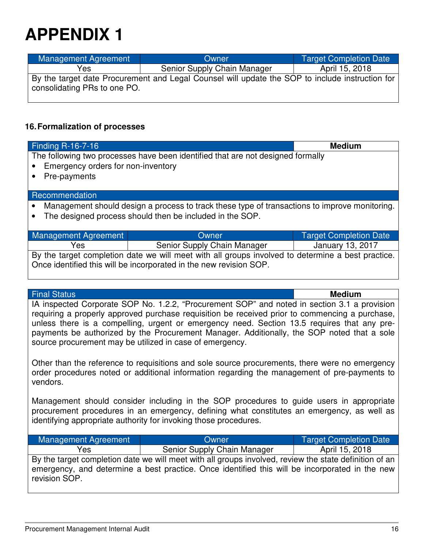| <b>Management Agreement</b>  | Owner                                                                                           | <b>Target Completion Date</b> |
|------------------------------|-------------------------------------------------------------------------------------------------|-------------------------------|
| Yes                          | Senior Supply Chain Manager                                                                     | April 15, 2018                |
| consolidating PRs to one PO. | By the target date Procurement and Legal Counsel will update the SOP to include instruction for |                               |

## **16. Formalization of processes**

| <b>Finding R-16-7-16</b>                                                                          |                             | <b>Medium</b>                 |
|---------------------------------------------------------------------------------------------------|-----------------------------|-------------------------------|
| The following two processes have been identified that are not designed formally                   |                             |                               |
| Emergency orders for non-inventory                                                                |                             |                               |
| Pre-payments                                                                                      |                             |                               |
|                                                                                                   |                             |                               |
| Recommendation                                                                                    |                             |                               |
| Management should design a process to track these type of transactions to improve monitoring.     |                             |                               |
| The designed process should then be included in the SOP.                                          |                             |                               |
|                                                                                                   |                             |                               |
| <b>Management Agreement</b>                                                                       | Owner                       | <b>Target Completion Date</b> |
| Yes                                                                                               | Senior Supply Chain Manager | January 13, 2017              |
| By the target completion date we will meet with all groups involved to determine a best practice. |                             |                               |
| Once identified this will be incorporated in the new revision SOP.                                |                             |                               |
|                                                                                                   |                             |                               |
|                                                                                                   |                             |                               |

Final Status **Medium**

IA inspected Corporate SOP No. 1.2.2, "Procurement SOP" and noted in section 3.1 a provision requiring a properly approved purchase requisition be received prior to commencing a purchase, unless there is a compelling, urgent or emergency need. Section 13.5 requires that any prepayments be authorized by the Procurement Manager. Additionally, the SOP noted that a sole source procurement may be utilized in case of emergency.

Other than the reference to requisitions and sole source procurements, there were no emergency order procedures noted or additional information regarding the management of pre-payments to vendors.

Management should consider including in the SOP procedures to guide users in appropriate procurement procedures in an emergency, defining what constitutes an emergency, as well as identifying appropriate authority for invoking those procedures.

| Management Agreement | Owner                                                                                                                                                                                                    | <b>Target Completion Date</b> |
|----------------------|----------------------------------------------------------------------------------------------------------------------------------------------------------------------------------------------------------|-------------------------------|
| Yes                  | Senior Supply Chain Manager                                                                                                                                                                              | April 15, 2018                |
| revision SOP.        | By the target completion date we will meet with all groups involved, review the state definition of an<br>emergency, and determine a best practice. Once identified this will be incorporated in the new |                               |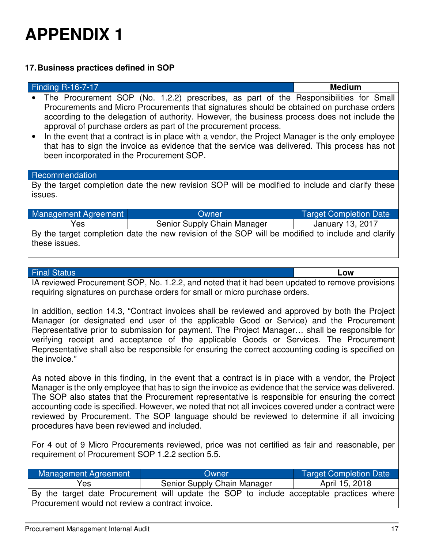## **17. Business practices defined in SOP**

| <b>Finding R-16-7-17</b>                                                                                                                                                                                                                                                                                                                                                                                                                                                                                                                                                                                |                                                                                                   | <b>Medium</b>                 |
|---------------------------------------------------------------------------------------------------------------------------------------------------------------------------------------------------------------------------------------------------------------------------------------------------------------------------------------------------------------------------------------------------------------------------------------------------------------------------------------------------------------------------------------------------------------------------------------------------------|---------------------------------------------------------------------------------------------------|-------------------------------|
| The Procurement SOP (No. 1.2.2) prescribes, as part of the Responsibilities for Small<br>Procurements and Micro Procurements that signatures should be obtained on purchase orders<br>according to the delegation of authority. However, the business process does not include the<br>approval of purchase orders as part of the procurement process.<br>In the event that a contract is in place with a vendor, the Project Manager is the only employee<br>that has to sign the invoice as evidence that the service was delivered. This process has not<br>been incorporated in the Procurement SOP. |                                                                                                   |                               |
| Recommendation                                                                                                                                                                                                                                                                                                                                                                                                                                                                                                                                                                                          |                                                                                                   |                               |
|                                                                                                                                                                                                                                                                                                                                                                                                                                                                                                                                                                                                         | By the target completion date the new revision SOP will be modified to include and clarify these  |                               |
| issues.                                                                                                                                                                                                                                                                                                                                                                                                                                                                                                                                                                                                 |                                                                                                   |                               |
|                                                                                                                                                                                                                                                                                                                                                                                                                                                                                                                                                                                                         |                                                                                                   |                               |
| <b>Management Agreement</b>                                                                                                                                                                                                                                                                                                                                                                                                                                                                                                                                                                             | Owner                                                                                             | <b>Target Completion Date</b> |
| Yes                                                                                                                                                                                                                                                                                                                                                                                                                                                                                                                                                                                                     | Senior Supply Chain Manager                                                                       | January 13, 2017              |
| these issues.                                                                                                                                                                                                                                                                                                                                                                                                                                                                                                                                                                                           | By the target completion date the new revision of the SOP will be modified to include and clarify |                               |

### Final Status **Low**

IA reviewed Procurement SOP, No. 1.2.2, and noted that it had been updated to remove provisions requiring signatures on purchase orders for small or micro purchase orders.

In addition, section 14.3, "Contract invoices shall be reviewed and approved by both the Project Manager (or designated end user of the applicable Good or Service) and the Procurement Representative prior to submission for payment. The Project Manager… shall be responsible for verifying receipt and acceptance of the applicable Goods or Services. The Procurement Representative shall also be responsible for ensuring the correct accounting coding is specified on the invoice."

As noted above in this finding, in the event that a contract is in place with a vendor, the Project Manager is the only employee that has to sign the invoice as evidence that the service was delivered. The SOP also states that the Procurement representative is responsible for ensuring the correct accounting code is specified. However, we noted that not all invoices covered under a contract were reviewed by Procurement. The SOP language should be reviewed to determine if all invoicing procedures have been reviewed and included.

For 4 out of 9 Micro Procurements reviewed, price was not certified as fair and reasonable, per requirement of Procurement SOP 1.2.2 section 5.5.

| Management Agreement                             | Owner                                                                                    | <b>Target Completion Date</b> |  |
|--------------------------------------------------|------------------------------------------------------------------------------------------|-------------------------------|--|
| Yes                                              | Senior Supply Chain Manager                                                              | April 15, 2018                |  |
|                                                  | By the target date Procurement will update the SOP to include acceptable practices where |                               |  |
| Procurement would not review a contract invoice. |                                                                                          |                               |  |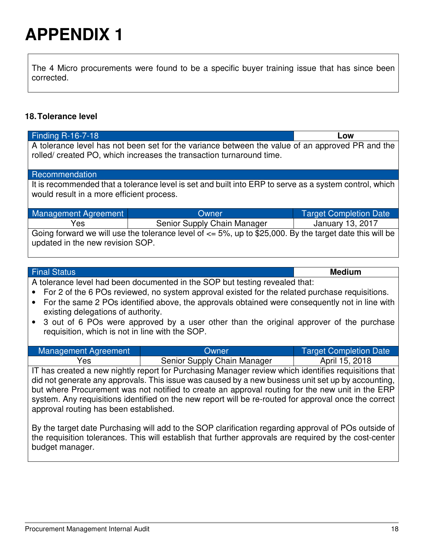The 4 Micro procurements were found to be a specific buyer training issue that has since been corrected.

## **18. Tolerance level**

| rolled/ created PO, which increases the transaction turnaround time.<br>Recommendation<br>It is recommended that a tolerance level is set and built into ERP to serve as a system control, which<br>would result in a more efficient process.<br><b>Management Agreement</b><br><b>Target Completion Date</b><br>Owner<br>Yes<br>Senior Supply Chain Manager<br>January 13, 2017<br>Going forward we will use the tolerance level of $\leq$ 5%, up to \$25,000. By the target date this will be<br>updated in the new revision SOP.<br><b>Medium</b><br><b>Final Status</b><br>A tolerance level had been documented in the SOP but testing revealed that:<br>For 2 of the 6 POs reviewed, no system approval existed for the related purchase requisitions.<br>$\bullet$<br>existing delegations of authority.<br>$\bullet$<br>requisition, which is not in line with the SOP.<br><b>Management Agreement</b><br><b>Target Completion Date</b><br>Owner<br>Senior Supply Chain Manager<br>April 15, 2018<br>Yes<br>IT has created a new nightly report for Purchasing Manager review which identifies requisitions that<br>did not generate any approvals. This issue was caused by a new business unit set up by accounting,<br>but where Procurement was not notified to create an approval routing for the new unit in the ERP<br>system. Any requisitions identified on the new report will be re-routed for approval once the correct<br>approval routing has been established.<br>By the target date Purchasing will add to the SOP clarification regarding approval of POs outside of<br>the requisition tolerances. This will establish that further approvals are required by the cost-center | <b>Finding R-16-7-18</b><br>Low                                                                                                                                                           |  |  |  |  |
|---------------------------------------------------------------------------------------------------------------------------------------------------------------------------------------------------------------------------------------------------------------------------------------------------------------------------------------------------------------------------------------------------------------------------------------------------------------------------------------------------------------------------------------------------------------------------------------------------------------------------------------------------------------------------------------------------------------------------------------------------------------------------------------------------------------------------------------------------------------------------------------------------------------------------------------------------------------------------------------------------------------------------------------------------------------------------------------------------------------------------------------------------------------------------------------------------------------------------------------------------------------------------------------------------------------------------------------------------------------------------------------------------------------------------------------------------------------------------------------------------------------------------------------------------------------------------------------------------------------------------------------------------------------------------------------------------------|-------------------------------------------------------------------------------------------------------------------------------------------------------------------------------------------|--|--|--|--|
|                                                                                                                                                                                                                                                                                                                                                                                                                                                                                                                                                                                                                                                                                                                                                                                                                                                                                                                                                                                                                                                                                                                                                                                                                                                                                                                                                                                                                                                                                                                                                                                                                                                                                                         | A tolerance level has not been set for the variance between the value of an approved PR and the                                                                                           |  |  |  |  |
|                                                                                                                                                                                                                                                                                                                                                                                                                                                                                                                                                                                                                                                                                                                                                                                                                                                                                                                                                                                                                                                                                                                                                                                                                                                                                                                                                                                                                                                                                                                                                                                                                                                                                                         |                                                                                                                                                                                           |  |  |  |  |
|                                                                                                                                                                                                                                                                                                                                                                                                                                                                                                                                                                                                                                                                                                                                                                                                                                                                                                                                                                                                                                                                                                                                                                                                                                                                                                                                                                                                                                                                                                                                                                                                                                                                                                         |                                                                                                                                                                                           |  |  |  |  |
|                                                                                                                                                                                                                                                                                                                                                                                                                                                                                                                                                                                                                                                                                                                                                                                                                                                                                                                                                                                                                                                                                                                                                                                                                                                                                                                                                                                                                                                                                                                                                                                                                                                                                                         |                                                                                                                                                                                           |  |  |  |  |
|                                                                                                                                                                                                                                                                                                                                                                                                                                                                                                                                                                                                                                                                                                                                                                                                                                                                                                                                                                                                                                                                                                                                                                                                                                                                                                                                                                                                                                                                                                                                                                                                                                                                                                         |                                                                                                                                                                                           |  |  |  |  |
|                                                                                                                                                                                                                                                                                                                                                                                                                                                                                                                                                                                                                                                                                                                                                                                                                                                                                                                                                                                                                                                                                                                                                                                                                                                                                                                                                                                                                                                                                                                                                                                                                                                                                                         |                                                                                                                                                                                           |  |  |  |  |
|                                                                                                                                                                                                                                                                                                                                                                                                                                                                                                                                                                                                                                                                                                                                                                                                                                                                                                                                                                                                                                                                                                                                                                                                                                                                                                                                                                                                                                                                                                                                                                                                                                                                                                         |                                                                                                                                                                                           |  |  |  |  |
|                                                                                                                                                                                                                                                                                                                                                                                                                                                                                                                                                                                                                                                                                                                                                                                                                                                                                                                                                                                                                                                                                                                                                                                                                                                                                                                                                                                                                                                                                                                                                                                                                                                                                                         | For the same 2 POs identified above, the approvals obtained were consequently not in line with<br>3 out of 6 POs were approved by a user other than the original approver of the purchase |  |  |  |  |
|                                                                                                                                                                                                                                                                                                                                                                                                                                                                                                                                                                                                                                                                                                                                                                                                                                                                                                                                                                                                                                                                                                                                                                                                                                                                                                                                                                                                                                                                                                                                                                                                                                                                                                         |                                                                                                                                                                                           |  |  |  |  |
|                                                                                                                                                                                                                                                                                                                                                                                                                                                                                                                                                                                                                                                                                                                                                                                                                                                                                                                                                                                                                                                                                                                                                                                                                                                                                                                                                                                                                                                                                                                                                                                                                                                                                                         |                                                                                                                                                                                           |  |  |  |  |
| budget manager.                                                                                                                                                                                                                                                                                                                                                                                                                                                                                                                                                                                                                                                                                                                                                                                                                                                                                                                                                                                                                                                                                                                                                                                                                                                                                                                                                                                                                                                                                                                                                                                                                                                                                         |                                                                                                                                                                                           |  |  |  |  |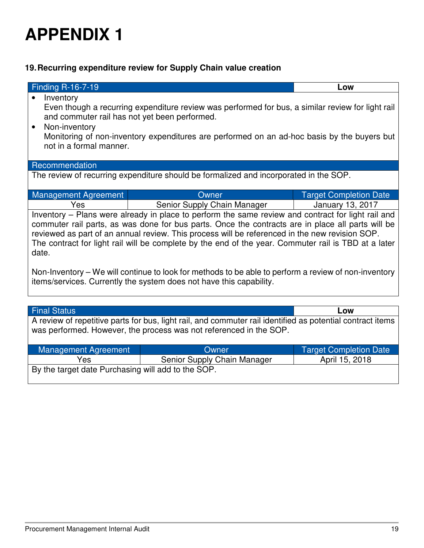## **19. Recurring expenditure review for Supply Chain value creation**

| <b>Finding R-16-7-19</b>                                                                                                                                                                                                                                                                                                                                                                                                   |                                                                                       | Low                           |  |
|----------------------------------------------------------------------------------------------------------------------------------------------------------------------------------------------------------------------------------------------------------------------------------------------------------------------------------------------------------------------------------------------------------------------------|---------------------------------------------------------------------------------------|-------------------------------|--|
| Inventory<br>$\bullet$                                                                                                                                                                                                                                                                                                                                                                                                     |                                                                                       |                               |  |
| Even though a recurring expenditure review was performed for bus, a similar review for light rail<br>and commuter rail has not yet been performed.<br>Non-inventory<br>$\bullet$<br>Monitoring of non-inventory expenditures are performed on an ad-hoc basis by the buyers but<br>not in a formal manner.                                                                                                                 |                                                                                       |                               |  |
| Recommendation                                                                                                                                                                                                                                                                                                                                                                                                             |                                                                                       |                               |  |
|                                                                                                                                                                                                                                                                                                                                                                                                                            | The review of recurring expenditure should be formalized and incorporated in the SOP. |                               |  |
|                                                                                                                                                                                                                                                                                                                                                                                                                            |                                                                                       |                               |  |
| Management Agreement                                                                                                                                                                                                                                                                                                                                                                                                       | Owner                                                                                 | <b>Target Completion Date</b> |  |
| Yes                                                                                                                                                                                                                                                                                                                                                                                                                        | Senior Supply Chain Manager                                                           | January 13, 2017              |  |
| Inventory – Plans were already in place to perform the same review and contract for light rail and<br>commuter rail parts, as was done for bus parts. Once the contracts are in place all parts will be<br>reviewed as part of an annual review. This process will be referenced in the new revision SOP.<br>The contract for light rail will be complete by the end of the year. Commuter rail is TBD at a later<br>date. |                                                                                       |                               |  |
| Non-Inventory – We will continue to look for methods to be able to perform a review of non-inventory<br>items/services. Currently the system does not have this capability.                                                                                                                                                                                                                                                |                                                                                       |                               |  |
| <b>Final Status</b>                                                                                                                                                                                                                                                                                                                                                                                                        |                                                                                       | Low                           |  |

A review of repetitive parts for bus, light rail, and commuter rail identified as potential contract items was performed. However, the process was not referenced in the SOP.

| Management Agreement                               | Owner                       | <b>Target Completion Date</b> |  |  |
|----------------------------------------------------|-----------------------------|-------------------------------|--|--|
| Yes                                                | Senior Supply Chain Manager | April 15, 2018                |  |  |
| By the target date Purchasing will add to the SOP. |                             |                               |  |  |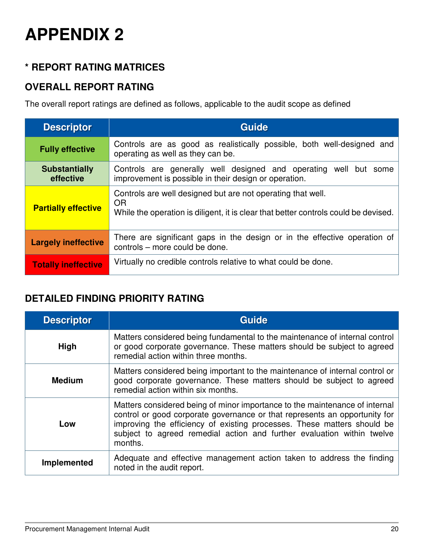# **\* REPORT RATING MATRICES**

## **OVERALL REPORT RATING**

The overall report ratings are defined as follows, applicable to the audit scope as defined

| <b>Descriptor</b>                 | <b>Guide</b>                                                                                                                                                    |
|-----------------------------------|-----------------------------------------------------------------------------------------------------------------------------------------------------------------|
| <b>Fully effective</b>            | Controls are as good as realistically possible, both well-designed and<br>operating as well as they can be.                                                     |
| <b>Substantially</b><br>effective | Controls are generally well designed and operating well but some<br>improvement is possible in their design or operation.                                       |
| <b>Partially effective</b>        | Controls are well designed but are not operating that well.<br><b>OR</b><br>While the operation is diligent, it is clear that better controls could be devised. |
| <b>Largely ineffective</b>        | There are significant gaps in the design or in the effective operation of<br>controls - more could be done.                                                     |
| <b>Totally ineffective</b>        | Virtually no credible controls relative to what could be done.                                                                                                  |

# **DETAILED FINDING PRIORITY RATING**

| <b>Descriptor</b> | Guide                                                                                                                                                                                                                                                                                                                     |
|-------------------|---------------------------------------------------------------------------------------------------------------------------------------------------------------------------------------------------------------------------------------------------------------------------------------------------------------------------|
| <b>High</b>       | Matters considered being fundamental to the maintenance of internal control<br>or good corporate governance. These matters should be subject to agreed<br>remedial action within three months.                                                                                                                            |
| <b>Medium</b>     | Matters considered being important to the maintenance of internal control or<br>good corporate governance. These matters should be subject to agreed<br>remedial action within six months.                                                                                                                                |
| Low               | Matters considered being of minor importance to the maintenance of internal<br>control or good corporate governance or that represents an opportunity for<br>improving the efficiency of existing processes. These matters should be<br>subject to agreed remedial action and further evaluation within twelve<br>months. |
| Implemented       | Adequate and effective management action taken to address the finding<br>noted in the audit report.                                                                                                                                                                                                                       |